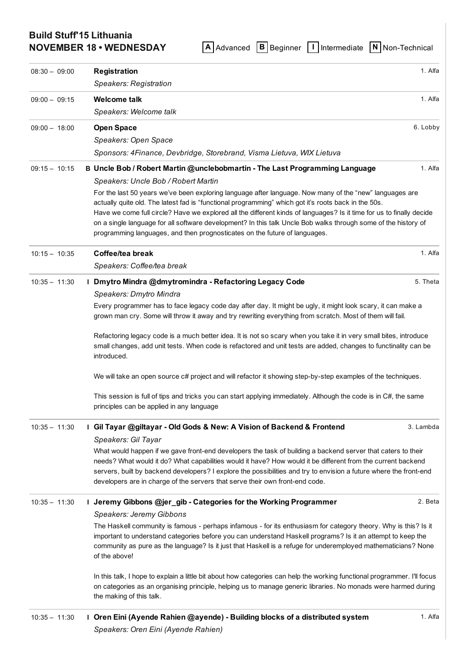# Build Stuff'15 Lithuania

NOVEMBER 18 • WEDNESDAY A [Advanced](https://buildstuff15lithuania.sched.org/type/advanced/print/all) B [Beginner](https://buildstuff15lithuania.sched.org/type/beginner/print/all) I [Intermediate](https://buildstuff15lithuania.sched.org/type/intermediate/print/all) N Non-Technical

| $08:30 - 09:00$ | <b>Registration</b>                                                                                                                                                                                                                                                                                                                                                                                                                                                                                                                     | 1. Alfa   |
|-----------------|-----------------------------------------------------------------------------------------------------------------------------------------------------------------------------------------------------------------------------------------------------------------------------------------------------------------------------------------------------------------------------------------------------------------------------------------------------------------------------------------------------------------------------------------|-----------|
|                 | Speakers: Registration                                                                                                                                                                                                                                                                                                                                                                                                                                                                                                                  |           |
| $09:00 - 09:15$ | <b>Welcome talk</b>                                                                                                                                                                                                                                                                                                                                                                                                                                                                                                                     | 1. Alfa   |
|                 | Speakers: Welcome talk                                                                                                                                                                                                                                                                                                                                                                                                                                                                                                                  |           |
| $09:00 - 18:00$ | <b>Open Space</b>                                                                                                                                                                                                                                                                                                                                                                                                                                                                                                                       | 6. Lobby  |
|                 | Speakers: Open Space                                                                                                                                                                                                                                                                                                                                                                                                                                                                                                                    |           |
|                 | Sponsors: 4Finance, Devbridge, Storebrand, Visma Lietuva, WIX Lietuva                                                                                                                                                                                                                                                                                                                                                                                                                                                                   |           |
| $09:15 - 10:15$ | B Uncle Bob / Robert Martin @unclebobmartin - The Last Programming Language                                                                                                                                                                                                                                                                                                                                                                                                                                                             | 1. Alfa   |
|                 | Speakers: Uncle Bob / Robert Martin                                                                                                                                                                                                                                                                                                                                                                                                                                                                                                     |           |
|                 | For the last 50 years we've been exploring language after language. Now many of the "new" languages are<br>actually quite old. The latest fad is "functional programming" which got it's roots back in the 50s.<br>Have we come full circle? Have we explored all the different kinds of languages? Is it time for us to finally decide<br>on a single language for all software development? In this talk Uncle Bob walks through some of the history of<br>programming languages, and then prognosticates on the future of languages. |           |
| $10:15 - 10:35$ | Coffee/tea break                                                                                                                                                                                                                                                                                                                                                                                                                                                                                                                        | 1. Alfa   |
|                 | Speakers: Coffee/tea break                                                                                                                                                                                                                                                                                                                                                                                                                                                                                                              |           |
| $10:35 - 11:30$ | I Dmytro Mindra @dmytromindra - Refactoring Legacy Code                                                                                                                                                                                                                                                                                                                                                                                                                                                                                 | 5. Theta  |
|                 | Speakers: Dmytro Mindra                                                                                                                                                                                                                                                                                                                                                                                                                                                                                                                 |           |
|                 | Every programmer has to face legacy code day after day. It might be ugly, it might look scary, it can make a<br>grown man cry. Some will throw it away and try rewriting everything from scratch. Most of them will fail.                                                                                                                                                                                                                                                                                                               |           |
|                 | Refactoring legacy code is a much better idea. It is not so scary when you take it in very small bites, introduce<br>small changes, add unit tests. When code is refactored and unit tests are added, changes to functinality can be<br>introduced.                                                                                                                                                                                                                                                                                     |           |
|                 | We will take an open source c# project and will refactor it showing step-by-step examples of the techniques.                                                                                                                                                                                                                                                                                                                                                                                                                            |           |
|                 | This session is full of tips and tricks you can start applying immediately. Although the code is in C#, the same<br>principles can be applied in any language                                                                                                                                                                                                                                                                                                                                                                           |           |
| $10:35 - 11:30$ | I Gil Tayar @giltayar - Old Gods & New: A Vision of Backend & Frontend                                                                                                                                                                                                                                                                                                                                                                                                                                                                  | 3. Lambda |
|                 | Speakers: Gil Tayar                                                                                                                                                                                                                                                                                                                                                                                                                                                                                                                     |           |
|                 | What would happen if we gave front-end developers the task of building a backend server that caters to their<br>needs? What would it do? What capabilities would it have? How would it be different from the current backend<br>servers, built by backend developers? I explore the possibilities and try to envision a future where the front-end<br>developers are in charge of the servers that serve their own front-end code.                                                                                                      |           |
| $10:35 - 11:30$ | I Jeremy Gibbons @jer_gib - Categories for the Working Programmer                                                                                                                                                                                                                                                                                                                                                                                                                                                                       | 2. Beta   |
|                 | Speakers: Jeremy Gibbons                                                                                                                                                                                                                                                                                                                                                                                                                                                                                                                |           |
|                 | The Haskell community is famous - perhaps infamous - for its enthusiasm for category theory. Why is this? Is it<br>important to understand categories before you can understand Haskell programs? Is it an attempt to keep the<br>community as pure as the language? Is it just that Haskell is a refuge for underemployed mathematicians? None<br>of the above!                                                                                                                                                                        |           |
|                 | In this talk, I hope to explain a little bit about how categories can help the working functional programmer. I'll focus<br>on categories as an organising principle, helping us to manage generic libraries. No monads were harmed during<br>the making of this talk.                                                                                                                                                                                                                                                                  |           |
| $10:35 - 11:30$ | I Oren Eini (Ayende Rahien @ayende) - Building blocks of a distributed system                                                                                                                                                                                                                                                                                                                                                                                                                                                           | 1. Alfa   |

*Speakers: Oren Eini (Ayende Rahien)*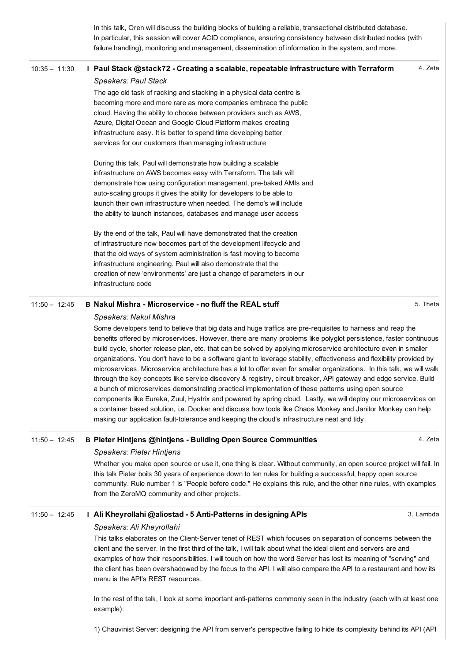In this talk, Oren will discuss the building blocks of building a reliable, transactional distributed database. In particular, this session will cover ACID compliance, ensuring consistency between distributed nodes (with failure handling), monitoring and management, dissemination of information in the system, and more.

#### 4. Zeta 10:35 - 11:30 I Paul Stack @stack72 - Creating a scalable, repeatable [infrastructure](https://buildstuff15lithuania.sched.org/event/2d9d73f8d6a9e8c2c7d0363c868971f2) with Terraform

#### *Speakers: Paul Stack*

The age old task of racking and stacking in a physical data centre is becoming more and more rare as more companies embrace the public cloud. Having the ability to choose between providers such as AWS, Azure, Digital Ocean and Google Cloud Platform makes creating infrastructure easy. It is better to spend time developing better services for our customers than managing infrastructure

During this talk, Paul will demonstrate how building a scalable infrastructure on AWS becomes easy with Terraform. The talk will demonstrate how using configuration management, pre-baked AMIs and auto-scaling groups it gives the ability for developers to be able to launch their own infrastructure when needed. The demo's will include the ability to launch instances, databases and manage user access

By the end of the talk, Paul will have demonstrated that the creation of infrastructure now becomes part of the development lifecycle and that the old ways of system administration is fast moving to become infrastructure engineering. Paul will also demonstrate that the creation of new 'environments' are just a change of parameters in our infrastructure code

#### $11:50 - 12:45$  B Nakul Mishra - [Microservice](https://buildstuff15lithuania.sched.org/event/ab69e76004989d138ab4561f9973b393) - no fluff the REAL stuff

#### *Speakers: Nakul Mishra*

Some developers tend to believe that big data and huge traffics are pre-requisites to harness and reap the benefits offered by microservices. However, there are many problems like polyglot persistence, faster continuous build cycle, shorter release plan, etc. that can be solved by applying microservice architecture even in smaller organizations. You don't have to be a software giant to leverage stability, effectiveness and flexibility provided by microservices. Microservice architecture has a lot to offer even for smaller organizations. In this talk, we will walk through the key concepts like service discovery & registry, circuit breaker, API gateway and edge service. Build a bunch of microservices demonstrating practical implementation of these patterns using open source components like Eureka, Zuul, Hystrix and powered by spring cloud. Lastly, we will deploy our microservices on a container based solution, i.e. Docker and discuss how tools like Chaos Monkey and Janitor Monkey can help making our application fault-tolerance and keeping the cloud's infrastructure neat and tidy.

## 11:50 – 12:45 B Pieter Hintjens @hintjens Building Open Source [Communities](https://buildstuff15lithuania.sched.org/event/4bd4969f0032c9a4c2dd8dc2465d3466)

#### *Speakers: Pieter Hintjens*

Whether you make open source or use it, one thing is clear. Without community, an open source project will fail. In this talk Pieter boils 30 years of experience down to ten rules for building a successful, happy open source community. Rule number 1 is "People before code." He explains this rule, and the other nine rules, with examples from the ZeroMQ community and other projects.

#### 11:50 – 12:45 I Ali Kheyrollahi @aliostad 5 [AntiPatterns](https://buildstuff15lithuania.sched.org/event/a7b3c1d9502bd888a6e871c078d806e2) in designing APIs

### *Speakers: Ali Kheyrollahi*

This talks elaborates on the Client-Server tenet of REST which focuses on separation of concerns between the client and the server. In the first third of the talk, I will talk about what the ideal client and servers are and examples of how their responsibilities. I will touch on how the word Server has lost its meaning of "serving" and the client has been overshadowed by the focus to the API. I will also compare the API to a restaurant and how its menu is the API's REST resources.

In the rest of the talk, I look at some important anti-patterns commonly seen in the industry (each with at least one example):

1) Chauvinist Server: designing the API from server's perspective failing to hide its complexity behind its API (API

#### 5. Theta

4. Zeta

3. Lambda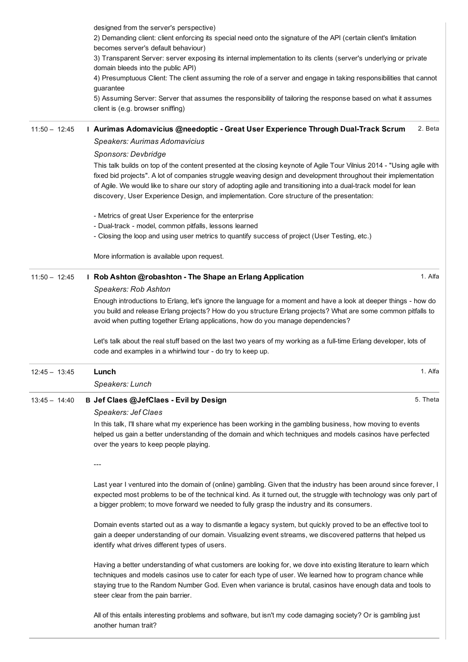|                 | designed from the server's perspective)<br>2) Demanding client: client enforcing its special need onto the signature of the API (certain client's limitation                                                                                                                                                                                                                                                                                               |  |
|-----------------|------------------------------------------------------------------------------------------------------------------------------------------------------------------------------------------------------------------------------------------------------------------------------------------------------------------------------------------------------------------------------------------------------------------------------------------------------------|--|
|                 | becomes server's default behaviour)<br>3) Transparent Server: server exposing its internal implementation to its clients (server's underlying or private<br>domain bleeds into the public API)                                                                                                                                                                                                                                                             |  |
|                 | 4) Presumptuous Client: The client assuming the role of a server and engage in taking responsibilities that cannot<br>guarantee                                                                                                                                                                                                                                                                                                                            |  |
|                 | 5) Assuming Server: Server that assumes the responsibility of tailoring the response based on what it assumes<br>client is (e.g. browser sniffing)                                                                                                                                                                                                                                                                                                         |  |
| $11:50 - 12:45$ | 2. Beta<br>I Aurimas Adomavicius @needoptic - Great User Experience Through Dual-Track Scrum                                                                                                                                                                                                                                                                                                                                                               |  |
|                 | Speakers: Aurimas Adomavicius                                                                                                                                                                                                                                                                                                                                                                                                                              |  |
|                 | Sponsors: Devbridge                                                                                                                                                                                                                                                                                                                                                                                                                                        |  |
|                 | This talk builds on top of the content presented at the closing keynote of Agile Tour Vilnius 2014 - "Using agile with<br>fixed bid projects". A lot of companies struggle weaving design and development throughout their implementation<br>of Agile. We would like to share our story of adopting agile and transitioning into a dual-track model for lean<br>discovery, User Experience Design, and implementation. Core structure of the presentation: |  |
|                 | - Metrics of great User Experience for the enterprise                                                                                                                                                                                                                                                                                                                                                                                                      |  |
|                 | - Dual-track - model, common pitfalls, lessons learned                                                                                                                                                                                                                                                                                                                                                                                                     |  |
|                 | - Closing the loop and using user metrics to quantify success of project (User Testing, etc.)                                                                                                                                                                                                                                                                                                                                                              |  |
|                 | More information is available upon request.                                                                                                                                                                                                                                                                                                                                                                                                                |  |
| $11:50 - 12:45$ | 1. Alfa<br>I Rob Ashton @robashton - The Shape an Erlang Application                                                                                                                                                                                                                                                                                                                                                                                       |  |
|                 | Speakers: Rob Ashton                                                                                                                                                                                                                                                                                                                                                                                                                                       |  |
|                 | Enough introductions to Erlang, let's ignore the language for a moment and have a look at deeper things - how do<br>you build and release Erlang projects? How do you structure Erlang projects? What are some common pitfalls to<br>avoid when putting together Erlang applications, how do you manage dependencies?                                                                                                                                      |  |
|                 | Let's talk about the real stuff based on the last two years of my working as a full-time Erlang developer, lots of<br>code and examples in a whirlwind tour - do try to keep up.                                                                                                                                                                                                                                                                           |  |
| $12:45 - 13:45$ | 1. Alfa<br>Lunch                                                                                                                                                                                                                                                                                                                                                                                                                                           |  |
|                 | Speakers: Lunch                                                                                                                                                                                                                                                                                                                                                                                                                                            |  |
| $13:45 - 14:40$ | B Jef Claes @JefClaes - Evil by Design<br>5. Theta                                                                                                                                                                                                                                                                                                                                                                                                         |  |
|                 | Speakers: Jef Claes                                                                                                                                                                                                                                                                                                                                                                                                                                        |  |
|                 | In this talk, I'll share what my experience has been working in the gambling business, how moving to events<br>helped us gain a better understanding of the domain and which techniques and models casinos have perfected<br>over the years to keep people playing.                                                                                                                                                                                        |  |
|                 |                                                                                                                                                                                                                                                                                                                                                                                                                                                            |  |
|                 | Last year I ventured into the domain of (online) gambling. Given that the industry has been around since forever, I<br>expected most problems to be of the technical kind. As it turned out, the struggle with technology was only part of<br>a bigger problem; to move forward we needed to fully grasp the industry and its consumers.                                                                                                                   |  |
|                 | Domain events started out as a way to dismantle a legacy system, but quickly proved to be an effective tool to<br>gain a deeper understanding of our domain. Visualizing event streams, we discovered patterns that helped us<br>identify what drives different types of users.                                                                                                                                                                            |  |
|                 | Having a better understanding of what customers are looking for, we dove into existing literature to learn which<br>techniques and models casinos use to cater for each type of user. We learned how to program chance while                                                                                                                                                                                                                               |  |

techniques and models casinos use to cater for each type of user. We learned how to program chance while staying true to the Random Number God. Even when variance is brutal, casinos have enough data and tools to steer clear from the pain barrier.

All of this entails interesting problems and software, but isn't my code damaging society? Or is gambling just another human trait?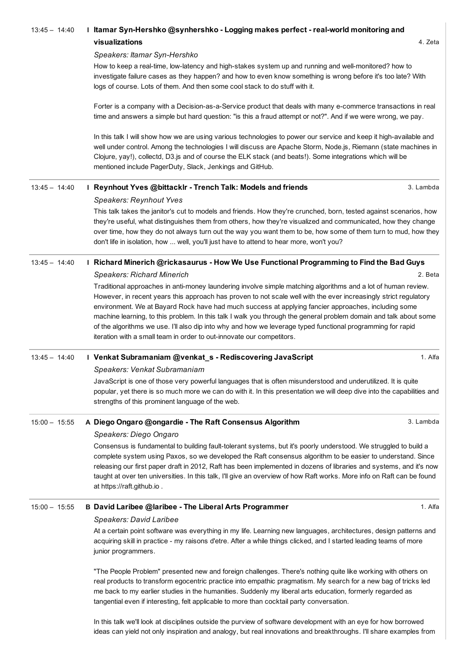# 4. Zeta 3. Lambda 2. Beta 1. Alfa 3. Lambda 1. Alfa 13:45 - 14:40 I Itamar Syn-Hershko [@synhershko](https://buildstuff15lithuania.sched.org/event/c8c6025d2aac6e9146a139c57f765219) - Logging makes perfect - real-world monitoring and visualizations *Speakers: Itamar SynHershko* How to keep a real-time, low-latency and high-stakes system up and running and well-monitored? how to investigate failure cases as they happen? and how to even know something is wrong before it's too late? With logs of course. Lots of them. And then some cool stack to do stuff with it. Forter is a company with a Decision-as-a-Service product that deals with many e-commerce transactions in real time and answers a simple but hard question: "is this a fraud attempt or not?". And if we were wrong, we pay. In this talk I will show how we are using various technologies to power our service and keep it high-available and well under control. Among the technologies I will discuss are Apache Storm, Node.js, Riemann (state machines in Clojure, yay!), collectd, D3.js and of course the ELK stack (and beats!). Some integrations which will be mentioned include PagerDuty, Slack, Jenkings and GitHub. 13:45 - 14:40 I Reynhout Yves [@bittacklr](https://buildstuff15lithuania.sched.org/event/8d2a02f28b5230e3837a60cc53ad9c03) - Trench Talk: Models and friends *Speakers: Reynhout Yves* This talk takes the janitor's cut to models and friends. How they're crunched, born, tested against scenarios, how they're useful, what distinguishes them from others, how they're visualized and communicated, how they change over time, how they do not always turn out the way you want them to be, how some of them turn to mud, how they don't life in isolation, how ... well, you'll just have to attend to hear more, won't you? 13:45 - 14:40 I Richard Minerich [@rickasaurus](https://buildstuff15lithuania.sched.org/event/354ff8513eb46d007d541d8cdb032c42) - How We Use Functional Programming to Find the Bad Guys *Speakers: Richard Minerich* Traditional approaches in anti-money laundering involve simple matching algorithms and a lot of human review. However, in recent years this approach has proven to not scale well with the ever increasingly strict regulatory environment. We at Bayard Rock have had much success at applying fancier approaches, including some machine learning, to this problem. In this talk I walk you through the general problem domain and talk about some of the algorithms we use. I'll also dip into why and how we leverage typed functional programming for rapid iteration with a small team in order to out-innovate our competitors. 13:45 - 14:40 I Venkat Subramaniam @venkat s - [Rediscovering](https://buildstuff15lithuania.sched.org/event/c6e13a6db9d88e00179d11d35da663ce) JavaScript *Speakers: Venkat Subramaniam* JavaScript is one of those very powerful languages that is often misunderstood and underutilized. It is quite popular, yet there is so much more we can do with it. In this presentation we will deep dive into the capabilities and strengths of this prominent language of the web. 15:00 – 15:55 A Diego Ongaro @ongardie The Raft [Consensus](https://buildstuff15lithuania.sched.org/event/4d29b85587a65c596507ab8301f72d98) Algorithm *Speakers: Diego Ongaro* Consensus is fundamental to building fault-tolerant systems, but it's poorly understood. We struggled to build a complete system using Paxos, so we developed the Raft consensus algorithm to be easier to understand. Since releasing our first paper draft in 2012, Raft has been implemented in dozens of libraries and systems, and it's now taught at over ten universities. In this talk, I'll give an overview of how Raft works. More info on Raft can be found at https://raft.github.io . 15:00 – 15:55 B David Laribee @laribee The Liberal Arts [Programmer](https://buildstuff15lithuania.sched.org/event/02e957bf88b4a1dd8392d14a99a544a2) *Speakers: David Laribee* At a certain point software was everything in my life. Learning new languages, architectures, design patterns and acquiring skill in practice - my raisons d'etre. After a while things clicked, and I started leading teams of more junior programmers.

"The People Problem" presented new and foreign challenges. There's nothing quite like working with others on real products to transform egocentric practice into empathic pragmatism. My search for a new bag of tricks led me back to my earlier studies in the humanities. Suddenly my liberal arts education, formerly regarded as tangential even if interesting, felt applicable to more than cocktail party conversation.

In this talk we'll look at disciplines outside the purview of software development with an eye for how borrowed ideas can yield not only inspiration and analogy, but real innovations and breakthroughs. I'll share examples from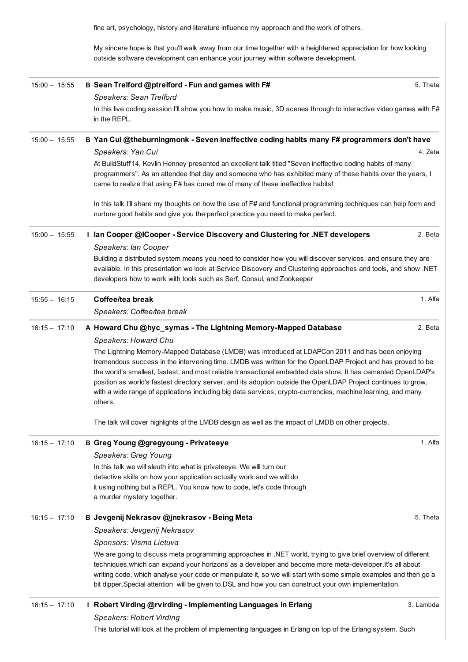fine art, psychology, history and literature influence my approach and the work of others.

My sincere hope is that you'll walk away from our time together with a heightened appreciation for how looking outside software development can enhance your journey within software development.

| $15:00 - 15:55$ | B Sean Trelford @ptrelford - Fun and games with F#                                                                                                                                                                                                                                                                                                                                                                                                                        | 5. Theta  |
|-----------------|---------------------------------------------------------------------------------------------------------------------------------------------------------------------------------------------------------------------------------------------------------------------------------------------------------------------------------------------------------------------------------------------------------------------------------------------------------------------------|-----------|
|                 | Speakers: Sean Trelford                                                                                                                                                                                                                                                                                                                                                                                                                                                   |           |
|                 | In this live coding session I'll show you how to make music, 3D scenes through to interactive video games with F#<br>in the REPL.                                                                                                                                                                                                                                                                                                                                         |           |
| $15:00 - 15:55$ | B Yan Cui @theburningmonk - Seven ineffective coding habits many F# programmers don't have                                                                                                                                                                                                                                                                                                                                                                                |           |
|                 | Speakers: Yan Cui                                                                                                                                                                                                                                                                                                                                                                                                                                                         | 4. Zeta   |
|                 | At BuildStuff'14, Kevlin Henney presented an excellent talk titled "Seven ineffective coding habits of many<br>programmers". As an attendee that day and someone who has exhibited many of these habits over the years, I<br>came to realize that using F# has cured me of many of these ineffective habits!                                                                                                                                                              |           |
|                 | In this talk I'll share my thoughts on how the use of F# and functional programming techniques can help form and<br>nurture good habits and give you the perfect practice you need to make perfect.                                                                                                                                                                                                                                                                       |           |
| $15:00 - 15:55$ | I lan Cooper @ICooper - Service Discovery and Clustering for .NET developers                                                                                                                                                                                                                                                                                                                                                                                              | 2. Beta   |
|                 | Speakers: lan Cooper                                                                                                                                                                                                                                                                                                                                                                                                                                                      |           |
|                 | Building a distributed system means you need to consider how you will discover services, and ensure they are<br>available. In this presentation we look at Service Discovery and Clustering approaches and tools, and show .NET<br>developers how to work with tools such as Serf, Consul, and Zookeeper                                                                                                                                                                  |           |
| $15:55 - 16:15$ | Coffee/tea break                                                                                                                                                                                                                                                                                                                                                                                                                                                          | 1. Alfa   |
|                 | Speakers: Coffee/tea break                                                                                                                                                                                                                                                                                                                                                                                                                                                |           |
| $16:15 - 17:10$ | A Howard Chu @hyc_symas - The Lightning Memory-Mapped Database                                                                                                                                                                                                                                                                                                                                                                                                            | 2. Beta   |
|                 | Speakers: Howard Chu                                                                                                                                                                                                                                                                                                                                                                                                                                                      |           |
|                 | tremendous success in the intervening time. LMDB was written for the OpenLDAP Project and has proved to be<br>the world's smallest, fastest, and most reliable transactional embedded data store. It has cemented OpenLDAP's<br>position as world's fastest directory server, and its adoption outside the OpenLDAP Project continues to grow,<br>with a wide range of applications including big data services, crypto-currencies, machine learning, and many<br>others. |           |
|                 | The talk will cover highlights of the LMDB design as well as the impact of LMDB on other projects.                                                                                                                                                                                                                                                                                                                                                                        |           |
| $16:15 - 17:10$ | B Greg Young @gregyoung - Privateeye                                                                                                                                                                                                                                                                                                                                                                                                                                      | 1. Alfa   |
|                 | Speakers: Greg Young                                                                                                                                                                                                                                                                                                                                                                                                                                                      |           |
|                 | In this talk we will sleuth into what is privateeye. We will turn our                                                                                                                                                                                                                                                                                                                                                                                                     |           |
|                 | detective skills on how your application actually work and we will do                                                                                                                                                                                                                                                                                                                                                                                                     |           |
|                 | it using nothing but a REPL. You know how to code, let's code through<br>a murder mystery together.                                                                                                                                                                                                                                                                                                                                                                       |           |
| $16:15 - 17:10$ | B Jevgenij Nekrasov @jnekrasov - Being Meta                                                                                                                                                                                                                                                                                                                                                                                                                               | 5. Theta  |
|                 | Speakers: Jevgenij Nekrasov                                                                                                                                                                                                                                                                                                                                                                                                                                               |           |
|                 | Sponsors: Visma Lietuva                                                                                                                                                                                                                                                                                                                                                                                                                                                   |           |
|                 | We are going to discuss meta programming approaches in .NET world, trying to give brief overview of different<br>techniques, which can expand your horizons as a developer and become more meta-developer. It's all about<br>writing code, which analyse your code or manipulate it, so we will start with some simple examples and then go a<br>bit dipper. Special attention will be given to DSL and how you can construct your own implementation.                    |           |
| $16:15 - 17:10$ | I Robert Virding @rvirding - Implementing Languages in Erlang                                                                                                                                                                                                                                                                                                                                                                                                             | 3. Lambda |
|                 | <b>Speakers: Robert Virding</b>                                                                                                                                                                                                                                                                                                                                                                                                                                           |           |

This tutorial will look at the problem of implementing languages in Erlang on top of the Erlang system. Such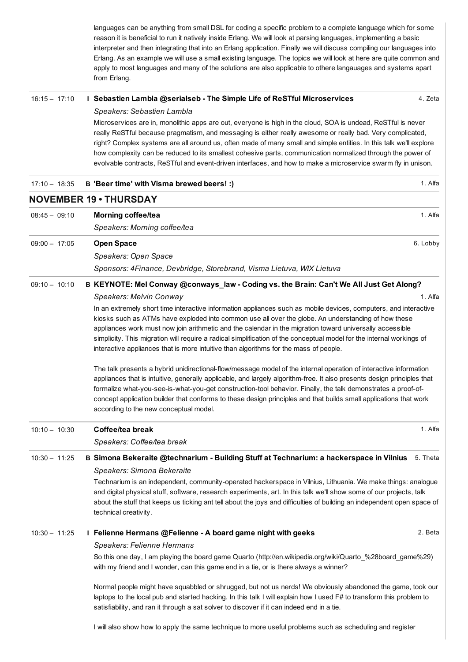languages can be anything from small DSL for coding a specific problem to a complete language which for some reason it is beneficial to run it natively inside Erlang. We will look at parsing languages, implementing a basic interpreter and then integrating that into an Erlang application. Finally we will discuss compiling our languages into Erlang. As an example we will use a small existing language. The topics we will look at here are quite common and apply to most languages and many of the solutions are also applicable to othere langauages and systems apart from Erlang.

#### 16:15 – 17:10 I Sebastien Lambla @serialseb The Simple Life of ReSTful [Microservices](https://buildstuff15lithuania.sched.org/event/2ca1523cb2fb6c81f7325894f873a332)

4. Zeta

#### *Speakers: Sebastien Lambla*

Microservices are in, monolithic apps are out, everyone is high in the cloud, SOA is undead, ReSTful is never really ReSTful because pragmatism, and messaging is either really awesome or really bad. Very complicated, right? Complex systems are all around us, often made of many small and simple entities. In this talk we'll explore how complexity can be reduced to its smallest cohesive parts, communication normalized through the power of evolvable contracts. ReSTful and event-driven interfaces, and how to make a microservice swarm fly in unison.

| $17:10 - 18:35$ | B 'Beer time' with Visma brewed beers! :)                                                                                                                                                                                                                                                                                                                                                                                                                                                                                                             | 1. Alfa  |
|-----------------|-------------------------------------------------------------------------------------------------------------------------------------------------------------------------------------------------------------------------------------------------------------------------------------------------------------------------------------------------------------------------------------------------------------------------------------------------------------------------------------------------------------------------------------------------------|----------|
|                 | <b>NOVEMBER 19 • THURSDAY</b>                                                                                                                                                                                                                                                                                                                                                                                                                                                                                                                         |          |
| $08:45 - 09:10$ | <b>Morning coffee/tea</b>                                                                                                                                                                                                                                                                                                                                                                                                                                                                                                                             | 1. Alfa  |
|                 | Speakers: Morning coffee/tea                                                                                                                                                                                                                                                                                                                                                                                                                                                                                                                          |          |
| $09:00 - 17:05$ | <b>Open Space</b>                                                                                                                                                                                                                                                                                                                                                                                                                                                                                                                                     | 6. Lobby |
|                 | Speakers: Open Space                                                                                                                                                                                                                                                                                                                                                                                                                                                                                                                                  |          |
|                 | Sponsors: 4Finance, Devbridge, Storebrand, Visma Lietuva, WIX Lietuva                                                                                                                                                                                                                                                                                                                                                                                                                                                                                 |          |
| $09:10 - 10:10$ | B KEYNOTE: Mel Conway @conways_law - Coding vs. the Brain: Can't We All Just Get Along?                                                                                                                                                                                                                                                                                                                                                                                                                                                               |          |
|                 | Speakers: Melvin Conway                                                                                                                                                                                                                                                                                                                                                                                                                                                                                                                               | 1. Alfa  |
|                 | In an extremely short time interactive information appliances such as mobile devices, computers, and interactive<br>kiosks such as ATMs have exploded into common use all over the globe. An understanding of how these<br>appliances work must now join arithmetic and the calendar in the migration toward universally accessible<br>simplicity. This migration will require a radical simplification of the conceptual model for the internal workings of<br>interactive appliances that is more intuitive than algorithms for the mass of people. |          |
|                 | The talk presents a hybrid unidirectional-flow/message model of the internal operation of interactive information<br>appliances that is intuitive, generally applicable, and largely algorithm-free. It also presents design principles that<br>formalize what-you-see-is-what-you-get construction-tool behavior. Finally, the talk demonstrates a proof-of-<br>concept application builder that conforms to these design principles and that builds small applications that work<br>according to the new conceptual model.                          |          |
| $10:10 - 10:30$ | Coffee/tea break                                                                                                                                                                                                                                                                                                                                                                                                                                                                                                                                      | 1. Alfa  |
|                 | Speakers: Coffee/tea break                                                                                                                                                                                                                                                                                                                                                                                                                                                                                                                            |          |
| $10:30 - 11:25$ | B Simona Bekeraite @technarium - Building Stuff at Technarium: a hackerspace in Vilnius                                                                                                                                                                                                                                                                                                                                                                                                                                                               | 5. Theta |
|                 | Speakers: Simona Bekeraite                                                                                                                                                                                                                                                                                                                                                                                                                                                                                                                            |          |
|                 | Technarium is an independent, community-operated hackerspace in Vilnius, Lithuania. We make things: analogue<br>and digital physical stuff, software, research experiments, art. In this talk we'll show some of our projects, talk<br>about the stuff that keeps us ticking ant tell about the joys and difficulties of building an independent open space of<br>technical creativity.                                                                                                                                                               |          |
| $10:30 - 11:25$ | I Felienne Hermans @Felienne - A board game night with geeks                                                                                                                                                                                                                                                                                                                                                                                                                                                                                          | 2. Beta  |
|                 | Speakers: Felienne Hermans                                                                                                                                                                                                                                                                                                                                                                                                                                                                                                                            |          |
|                 | So this one day, I am playing the board game Quarto (http://en.wikipedia.org/wiki/Quarto_%28board_game%29)<br>with my friend and I wonder, can this game end in a tie, or is there always a winner?                                                                                                                                                                                                                                                                                                                                                   |          |
|                 | Normal people might have squabbled or shrugged, but not us nerds! We obviously abandoned the game, took our<br>laptops to the local pub and started hacking. In this talk I will explain how I used F# to transform this problem to<br>satisfiability, and ran it through a sat solver to discover if it can indeed end in a tie.                                                                                                                                                                                                                     |          |
|                 |                                                                                                                                                                                                                                                                                                                                                                                                                                                                                                                                                       |          |

I will also show how to apply the same technique to more useful problems such as scheduling and register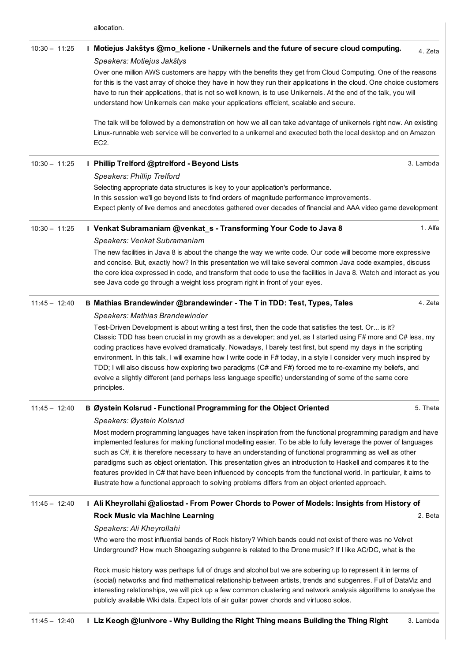allocation.

| $10:30 - 11:25$ | I Motiejus Jakštys @mo_kelione - Unikernels and the future of secure cloud computing.<br>Speakers: Motiejus Jakštys                                                                                                                                                                                                                                                                                                                                                                                                                                                                                                                                                                                    | 4. Zeta   |
|-----------------|--------------------------------------------------------------------------------------------------------------------------------------------------------------------------------------------------------------------------------------------------------------------------------------------------------------------------------------------------------------------------------------------------------------------------------------------------------------------------------------------------------------------------------------------------------------------------------------------------------------------------------------------------------------------------------------------------------|-----------|
|                 | Over one million AWS customers are happy with the benefits they get from Cloud Computing. One of the reasons<br>for this is the vast array of choice they have in how they run their applications in the cloud. One choice customers                                                                                                                                                                                                                                                                                                                                                                                                                                                                   |           |
|                 | have to run their applications, that is not so well known, is to use Unikernels. At the end of the talk, you will<br>understand how Unikernels can make your applications efficient, scalable and secure.                                                                                                                                                                                                                                                                                                                                                                                                                                                                                              |           |
|                 | The talk will be followed by a demonstration on how we all can take advantage of unikernels right now. An existing<br>Linux-runnable web service will be converted to a unikernel and executed both the local desktop and on Amazon<br>EC <sub>2</sub> .                                                                                                                                                                                                                                                                                                                                                                                                                                               |           |
| $10:30 - 11:25$ | I Phillip Trelford @ptrelford - Beyond Lists                                                                                                                                                                                                                                                                                                                                                                                                                                                                                                                                                                                                                                                           | 3. Lambda |
|                 | Speakers: Phillip Trelford                                                                                                                                                                                                                                                                                                                                                                                                                                                                                                                                                                                                                                                                             |           |
|                 | Selecting appropriate data structures is key to your application's performance.<br>In this session we'll go beyond lists to find orders of magnitude performance improvements.<br>Expect plenty of live demos and anecdotes gathered over decades of financial and AAA video game development                                                                                                                                                                                                                                                                                                                                                                                                          |           |
| $10:30 - 11:25$ | I Venkat Subramaniam @venkat_s - Transforming Your Code to Java 8                                                                                                                                                                                                                                                                                                                                                                                                                                                                                                                                                                                                                                      | 1. Alfa   |
|                 | Speakers: Venkat Subramaniam                                                                                                                                                                                                                                                                                                                                                                                                                                                                                                                                                                                                                                                                           |           |
|                 | The new facilities in Java 8 is about the change the way we write code. Our code will become more expressive<br>and concise. But, exactly how? In this presentation we will take several common Java code examples, discuss                                                                                                                                                                                                                                                                                                                                                                                                                                                                            |           |
|                 | the core idea expressed in code, and transform that code to use the facilities in Java 8. Watch and interact as you                                                                                                                                                                                                                                                                                                                                                                                                                                                                                                                                                                                    |           |
|                 | see Java code go through a weight loss program right in front of your eyes.                                                                                                                                                                                                                                                                                                                                                                                                                                                                                                                                                                                                                            |           |
| $11:45 - 12:40$ | B Mathias Brandewinder @brandewinder - The T in TDD: Test, Types, Tales                                                                                                                                                                                                                                                                                                                                                                                                                                                                                                                                                                                                                                | 4. Zeta   |
|                 | Speakers: Mathias Brandewinder                                                                                                                                                                                                                                                                                                                                                                                                                                                                                                                                                                                                                                                                         |           |
|                 | Test-Driven Development is about writing a test first, then the code that satisfies the test. Or is it?<br>Classic TDD has been crucial in my growth as a developer; and yet, as I started using F# more and C# less, my<br>coding practices have evolved dramatically. Nowadays, I barely test first, but spend my days in the scripting<br>environment. In this talk, I will examine how I write code in F# today, in a style I consider very much inspired by<br>TDD; I will also discuss how exploring two paradigms (C# and F#) forced me to re-examine my beliefs, and<br>evolve a slightly different (and perhaps less language specific) understanding of some of the same core<br>principles. |           |
| $11:45 - 12:40$ | B Øystein Kolsrud - Functional Programming for the Object Oriented                                                                                                                                                                                                                                                                                                                                                                                                                                                                                                                                                                                                                                     | 5. Theta  |
|                 | Speakers: Øystein Kolsrud                                                                                                                                                                                                                                                                                                                                                                                                                                                                                                                                                                                                                                                                              |           |
|                 | Most modern programming languages have taken inspiration from the functional programming paradigm and have<br>implemented features for making functional modelling easier. To be able to fully leverage the power of languages<br>such as C#, it is therefore necessary to have an understanding of functional programming as well as other<br>paradigms such as object orientation. This presentation gives an introduction to Haskell and compares it to the<br>features provided in C# that have been influenced by concepts from the functional world. In particular, it aims to<br>illustrate how a functional approach to solving problems differs from an object oriented approach.             |           |
| $11:45 - 12:40$ | Ali Kheyrollahi @aliostad - From Power Chords to Power of Models: Insights from History of                                                                                                                                                                                                                                                                                                                                                                                                                                                                                                                                                                                                             |           |
|                 | Rock Music via Machine Learning                                                                                                                                                                                                                                                                                                                                                                                                                                                                                                                                                                                                                                                                        | 2. Beta   |
|                 | Speakers: Ali Kheyrollahi                                                                                                                                                                                                                                                                                                                                                                                                                                                                                                                                                                                                                                                                              |           |
|                 | Who were the most influential bands of Rock history? Which bands could not exist of there was no Velvet<br>Underground? How much Shoegazing subgenre is related to the Drone music? If I like AC/DC, what is the                                                                                                                                                                                                                                                                                                                                                                                                                                                                                       |           |
|                 | Rock music history was perhaps full of drugs and alcohol but we are sobering up to represent it in terms of<br>(social) networks and find mathematical relationship between artists, trends and subgenres. Full of DataViz and<br>interesting relationships, we will pick up a few common clustering and network analysis algorithms to analyse the<br>publicly available Wiki data. Expect lots of air guitar power chords and virtuoso solos.                                                                                                                                                                                                                                                        |           |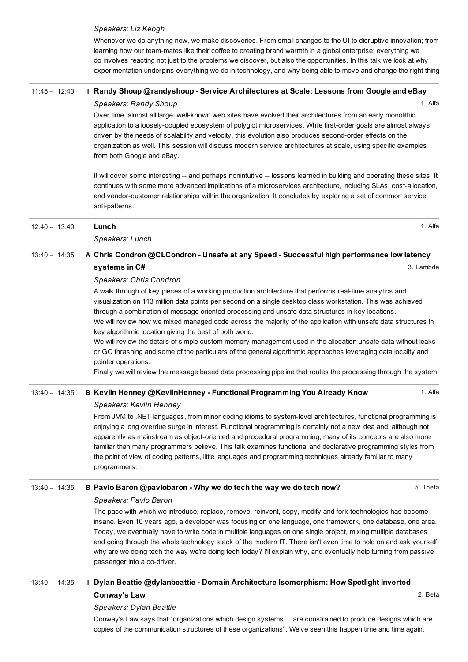#### *Speakers: Liz Keogh*

Whenever we do anything new, we make discoveries. From small changes to the UI to disruptive innovation; from learning how our teammates like their coffee to creating brand warmth in a global enterprise; everything we do involves reacting not just to the problems we discover, but also the opportunities. In this talk we look at why experimentation underpins everything we do in technology, and why being able to move and change the right thing

## 1. Alfa 11:45 - 12:40 I Randy Shoup [@randyshoup](https://buildstuff15lithuania.sched.org/event/7660a44286d15f548408d02acb240344) - Service Architectures at Scale: Lessons from Google and eBay

## *Speakers: Randy Shoup*

Over time, almost all large, well-known web sites have evolved their architectures from an early monolithic application to a loosely-coupled ecosystem of polyglot microservices. While first-order goals are almost always driven by the needs of scalability and velocity, this evolution also produces second-order effects on the organization as well. This session will discuss modern service architectures at scale, using specific examples from both Google and eBay.

It will cover some interesting -- and perhaps nonintuitive -- lessons learned in building and operating these sites. It continues with some more advanced implications of a microservices architecture, including SLAs, cost-allocation, and vendor-customer relationships within the organization. It concludes by exploring a set of common service anti-patterns.

1. Alfa

2. Beta

| $12:40 - 13:40$ | Lunch                                                                                                                                                                                                                                                                                                                                                                                                                                                                                                                                                                                         | 1. Alfa   |
|-----------------|-----------------------------------------------------------------------------------------------------------------------------------------------------------------------------------------------------------------------------------------------------------------------------------------------------------------------------------------------------------------------------------------------------------------------------------------------------------------------------------------------------------------------------------------------------------------------------------------------|-----------|
|                 | Speakers: Lunch                                                                                                                                                                                                                                                                                                                                                                                                                                                                                                                                                                               |           |
| $13:40 - 14:35$ | A Chris Condron @CLCondron - Unsafe at any Speed - Successful high performance low latency                                                                                                                                                                                                                                                                                                                                                                                                                                                                                                    |           |
|                 | systems in C#                                                                                                                                                                                                                                                                                                                                                                                                                                                                                                                                                                                 | 3. Lambda |
|                 | <b>Speakers: Chris Condron</b>                                                                                                                                                                                                                                                                                                                                                                                                                                                                                                                                                                |           |
|                 | A walk through of key pieces of a working production architecture that performs real-time analytics and<br>visualization on 113 million data points per second on a single desktop class workstation. This was achieved<br>through a combination of message oriented processing and unsafe data structures in key locations.<br>We will review how we mixed managed code across the majority of the application with unsafe data structures in<br>key algorithmic location giving the best of both world.                                                                                     |           |
|                 | We will review the details of simple custom memory management used in the allocation unsafe data without leaks<br>or GC thrashing and some of the particulars of the general algorithmic approaches leveraging data locality and<br>pointer operations.                                                                                                                                                                                                                                                                                                                                       |           |
|                 | Finally we will review the message based data processing pipeline that routes the processing through the system.                                                                                                                                                                                                                                                                                                                                                                                                                                                                              |           |
| $13:40 - 14:35$ | B Kevlin Henney @KevlinHenney - Functional Programming You Already Know                                                                                                                                                                                                                                                                                                                                                                                                                                                                                                                       | 1. Alfa   |
|                 | Speakers: Kevlin Henney                                                                                                                                                                                                                                                                                                                                                                                                                                                                                                                                                                       |           |
|                 | From JVM to .NET languages, from minor coding idioms to system-level architectures, functional programming is<br>enjoying a long overdue surge in interest. Functional programming is certainly not a new idea and, although not<br>apparently as mainstream as object-oriented and procedural programming, many of its concepts are also more<br>familiar than many programmers believe. This talk examines functional and declarative programming styles from<br>the point of view of coding patterns, little languages and programming techniques already familiar to many<br>programmers. |           |
| $13:40 - 14:35$ | B Pavlo Baron @pavlobaron - Why we do tech the way we do tech now?                                                                                                                                                                                                                                                                                                                                                                                                                                                                                                                            | 5. Theta  |
|                 | Speakers: Pavlo Baron                                                                                                                                                                                                                                                                                                                                                                                                                                                                                                                                                                         |           |
|                 | The pace with which we introduce, replace, remove, reinvent, copy, modify and fork technologies has become                                                                                                                                                                                                                                                                                                                                                                                                                                                                                    |           |
|                 |                                                                                                                                                                                                                                                                                                                                                                                                                                                                                                                                                                                               |           |

insane. Even 10 years ago, a developer was focusing on one language, one framework, one database, one area. Today, we eventually have to write code in multiple languages on one single project, mixing multiple databases and going through the whole technology stack of the modern IT. There isn't even time to hold on and ask yourself: why are we doing tech the way we're doing tech today? I'll explain why, and eventually help turning from passive passenger into a co-driver.

# 13:40 – 14:35 I Dylan Beattie [@dylanbeattie](https://buildstuff15lithuania.sched.org/event/d69c471ba2db0c91e5cb89d7d9f951c8) Domain Architecture Isomorphism: How Spotlight Inverted Conway's Law

## *Speakers: Dylan Beattie*

Conway's Law says that "organizations which design systems ... are constrained to produce designs which are copies of the communication structures of these organizations". We've seen this happen time and time again.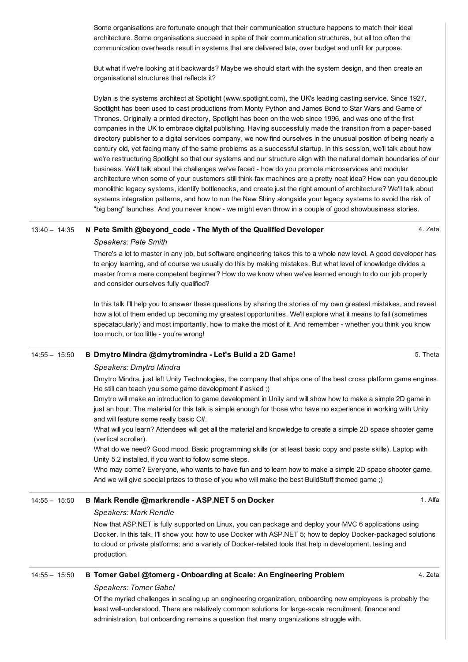Some organisations are fortunate enough that their communication structure happens to match their ideal architecture. Some organisations succeed in spite of their communication structures, but all too often the communication overheads result in systems that are delivered late, over budget and unfit for purpose.

But what if we're looking at it backwards? Maybe we should start with the system design, and then create an organisational structures that reflects it?

Dylan is the systems architect at Spotlight (www.spotlight.com), the UK's leading casting service. Since 1927, Spotlight has been used to cast productions from Monty Python and James Bond to Star Wars and Game of Thrones. Originally a printed directory, Spotlight has been on the web since 1996, and was one of the first companies in the UK to embrace digital publishing. Having successfully made the transition from a paperbased directory publisher to a digital services company, we now find ourselves in the unusual position of being nearly a century old, yet facing many of the same problems as a successful startup. In this session, we'll talk about how we're restructuring Spotlight so that our systems and our structure align with the natural domain boundaries of our business. We'll talk about the challenges we've faced - how do you promote microservices and modular architecture when some of your customers still think fax machines are a pretty neat idea? How can you decouple monolithic legacy systems, identify bottlenecks, and create just the right amount of architecture? We'll talk about systems integration patterns, and how to run the New Shiny alongside your legacy systems to avoid the risk of "big bang" launches. And you never know - we might even throw in a couple of good showbusiness stories.

#### 13:40 – 14:35 N Pete Smith [@beyond\\_code](https://buildstuff15lithuania.sched.org/event/2784462f0007384eb36ff1fb65dc5171) The Myth of the Qualified Developer

4. Zeta

5. Theta

## *Speakers: Pete Smith*

There's a lot to master in any job, but software engineering takes this to a whole new level. A good developer has to enjoy learning, and of course we usually do this by making mistakes. But what level of knowledge divides a master from a mere competent beginner? How do we know when we've learned enough to do our job properly and consider ourselves fully qualified?

In this talk I'll help you to answer these questions by sharing the stories of my own greatest mistakes, and reveal how a lot of them ended up becoming my greatest opportunities. We'll explore what it means to fail (sometimes specatacularly) and most importantly, how to make the most of it. And remember - whether you think you know too much, or too little - you're wrong!

#### 14:55 – 15:50 B Dmytro Mindra [@dmytromindra](https://buildstuff15lithuania.sched.org/event/fb907398bf51677ca03071b9283d3f2f) Let's Build a 2D Game!

#### *Speakers: Dmytro Mindra*

Dmytro Mindra, just left Unity Technologies, the company that ships one of the best cross platform game engines. He still can teach you some game development if asked ;)

Dmytro will make an introduction to game development in Unity and will show how to make a simple 2D game in just an hour. The material for this talk is simple enough for those who have no experience in working with Unity and will feature some really basic C#.

What will you learn? Attendees will get all the material and knowledge to create a simple 2D space shooter game (vertical scroller).

What do we need? Good mood. Basic programming skills (or at least basic copy and paste skills). Laptop with Unity 5.2 installed, if you want to follow some steps.

Who may come? Everyone, who wants to have fun and to learn how to make a simple 2D space shooter game. And we will give special prizes to those of you who will make the best BuildStuff themed game ;)

#### 14:55 – 15:50 B Mark Rendle [@markrendle](https://buildstuff15lithuania.sched.org/event/8ee0797e08989064d2cb86f1158f667b) ASP.NET 5 on Docker

#### *Speakers: Mark Rendle*

Now that ASP.NET is fully supported on Linux, you can package and deploy your MVC 6 applications using Docker. In this talk, I'll show you: how to use Docker with ASP.NET 5; how to deploy Docker-packaged solutions to cloud or private platforms; and a variety of Docker-related tools that help in development, testing and production.

### 14:55 – 15:50 B Tomer Gabel @tomerg Onboarding at Scale: An [Engineering](https://buildstuff15lithuania.sched.org/event/e3fa5aea2567221639e0e5d77347bbed) Problem

#### *Speakers: Tomer Gabel*

Of the myriad challenges in scaling up an engineering organization, onboarding new employees is probably the least well-understood. There are relatively common solutions for large-scale recruitment, finance and administration, but onboarding remains a question that many organizations struggle with.

#### 1. Alfa

4. Zeta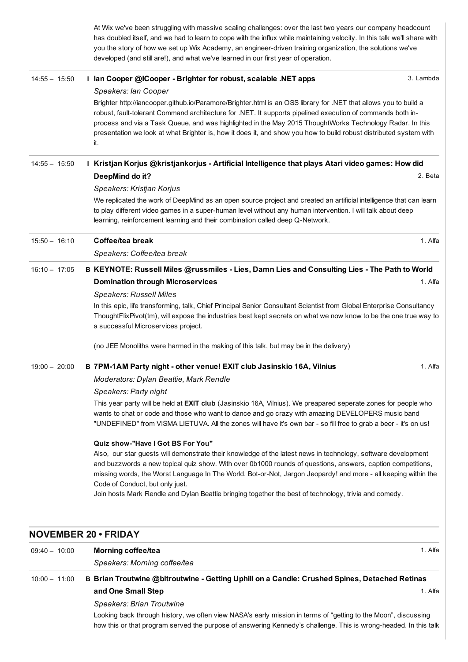At Wix we've been struggling with massive scaling challenges: over the last two years our company headcount has doubled itself, and we had to learn to cope with the influx while maintaining velocity. In this talk we'll share with you the story of how we set up Wix Academy, an engineer-driven training organization, the solutions we've developed (and still are!), and what we've learned in our first year of operation.

| $14:55 - 15:50$ | I lan Cooper @ICooper - Brighter for robust, scalable .NET apps                                                                                                                                                                                                                                                                                                                                                                                                                                                                 | 3. Lambda |
|-----------------|---------------------------------------------------------------------------------------------------------------------------------------------------------------------------------------------------------------------------------------------------------------------------------------------------------------------------------------------------------------------------------------------------------------------------------------------------------------------------------------------------------------------------------|-----------|
|                 | Speakers: lan Cooper<br>Brighter http://iancooper.github.io/Paramore/Brighter.html is an OSS library for .NET that allows you to build a<br>robust, fault-tolerant Command architecture for .NET. It supports pipelined execution of commands both in-<br>process and via a Task Queue, and was highlighted in the May 2015 ThoughtWorks Technology Radar. In this<br>presentation we look at what Brighter is, how it does it, and show you how to build robust distributed system with<br>it.                                 |           |
| $14:55 - 15:50$ | I Kristjan Korjus @kristjankorjus - Artificial Intelligence that plays Atari video games: How did                                                                                                                                                                                                                                                                                                                                                                                                                               |           |
|                 | DeepMind do it?                                                                                                                                                                                                                                                                                                                                                                                                                                                                                                                 | 2. Beta   |
|                 | Speakers: Kristjan Korjus                                                                                                                                                                                                                                                                                                                                                                                                                                                                                                       |           |
|                 | We replicated the work of DeepMind as an open source project and created an artificial intelligence that can learn<br>to play different video games in a super-human level without any human intervention. I will talk about deep<br>learning, reinforcement learning and their combination called deep Q-Network.                                                                                                                                                                                                              |           |
| $15:50 - 16:10$ | Coffee/tea break                                                                                                                                                                                                                                                                                                                                                                                                                                                                                                                | 1. Alfa   |
|                 | Speakers: Coffee/tea break                                                                                                                                                                                                                                                                                                                                                                                                                                                                                                      |           |
| $16:10 - 17:05$ | B KEYNOTE: Russell Miles @russmiles - Lies, Damn Lies and Consulting Lies - The Path to World                                                                                                                                                                                                                                                                                                                                                                                                                                   |           |
|                 | <b>Domination through Microservices</b>                                                                                                                                                                                                                                                                                                                                                                                                                                                                                         | 1. Alfa   |
|                 | <b>Speakers: Russell Miles</b>                                                                                                                                                                                                                                                                                                                                                                                                                                                                                                  |           |
|                 | In this epic, life transforming, talk, Chief Principal Senior Consultant Scientist from Global Enterprise Consultancy<br>ThoughtFlixPivot(tm), will expose the industries best kept secrets on what we now know to be the one true way to<br>a successful Microservices project.                                                                                                                                                                                                                                                |           |
|                 | (no JEE Monoliths were harmed in the making of this talk, but may be in the delivery)                                                                                                                                                                                                                                                                                                                                                                                                                                           |           |
| $19:00 - 20:00$ | B 7PM-1AM Party night - other venue! EXIT club Jasinskio 16A, Vilnius                                                                                                                                                                                                                                                                                                                                                                                                                                                           | 1. Alfa   |
|                 | Moderators: Dylan Beattie, Mark Rendle                                                                                                                                                                                                                                                                                                                                                                                                                                                                                          |           |
|                 | Speakers: Party night                                                                                                                                                                                                                                                                                                                                                                                                                                                                                                           |           |
|                 | This year party will be held at EXIT club (Jasinskio 16A, Vilnius). We preapared seperate zones for people who<br>wants to chat or code and those who want to dance and go crazy with amazing DEVELOPERS music band<br>"UNDEFINED" from VISMA LIETUVA. All the zones will have it's own bar - so fill free to grab a beer - it's on us!                                                                                                                                                                                         |           |
|                 | Quiz show-"Have I Got BS For You"<br>Also, our star guests will demonstrate their knowledge of the latest news in technology, software development<br>and buzzwords a new topical quiz show. With over 0b1000 rounds of questions, answers, caption competitions,<br>missing words, the Worst Language In The World, Bot-or-Not, Jargon Jeopardy! and more - all keeping within the<br>Code of Conduct, but only just.<br>Join hosts Mark Rendle and Dylan Beattie bringing together the best of technology, trivia and comedy. |           |
|                 |                                                                                                                                                                                                                                                                                                                                                                                                                                                                                                                                 |           |

# NOVEMBER 20 • FRIDAY

| $09:40 - 10:00$ | Morning coffee/tea                                                                                             | 1. Alfa |
|-----------------|----------------------------------------------------------------------------------------------------------------|---------|
|                 | Speakers: Morning coffee/tea                                                                                   |         |
| $10:00 - 11:00$ | B Brian Troutwine @bltroutwine - Getting Uphill on a Candle: Crushed Spines, Detached Retinas                  |         |
|                 | and One Small Step                                                                                             | 1. Alfa |
|                 | Speakers: Brian Troutwine                                                                                      |         |
|                 | Looking back through history, we often view NASA's early mission in terms of "getting to the Moon", discussing |         |

Looking back through history, we often view NASA's early mission in terms of "getting to the Moon", discussing how this or that program served the purpose of answering Kennedy's challenge. This is wrong-headed. In this talk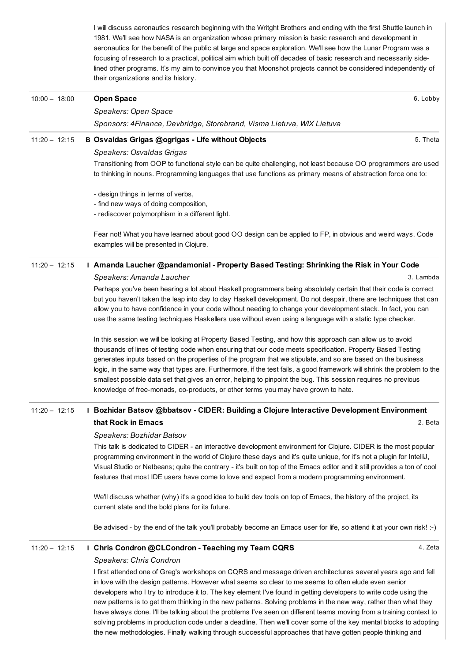I will discuss aeronautics research beginning with the Writght Brothers and ending with the first Shuttle launch in 1981. We'll see how NASA is an organization whose primary mission is basic research and development in aeronautics for the benefit of the public at large and space exploration. We'll see how the Lunar Program was a focusing of research to a practical, political aim which built off decades of basic research and necessarily sidelined other programs. It's my aim to convince you that Moonshot projects cannot be considered independently of their organizations and its history.

| $10:00 - 18:00$ | <b>Open Space</b>                                                                                                                                                                                                                 | 6. Lobby  |
|-----------------|-----------------------------------------------------------------------------------------------------------------------------------------------------------------------------------------------------------------------------------|-----------|
|                 | Speakers: Open Space                                                                                                                                                                                                              |           |
|                 | Sponsors: 4Finance, Devbridge, Storebrand, Visma Lietuva, WIX Lietuva                                                                                                                                                             |           |
| $11:20 - 12:15$ | B Osvaldas Grigas @ogrigas - Life without Objects                                                                                                                                                                                 | 5. Theta  |
|                 | Speakers: Osvaldas Grigas                                                                                                                                                                                                         |           |
|                 | Transitioning from OOP to functional style can be quite challenging, not least because OO programmers are used<br>to thinking in nouns. Programming languages that use functions as primary means of abstraction force one to:    |           |
|                 | - design things in terms of verbs,                                                                                                                                                                                                |           |
|                 | - find new ways of doing composition,                                                                                                                                                                                             |           |
|                 | - rediscover polymorphism in a different light.                                                                                                                                                                                   |           |
|                 | Fear not! What you have learned about good OO design can be applied to FP, in obvious and weird ways. Code<br>examples will be presented in Clojure.                                                                              |           |
| $11:20 - 12:15$ | Amanda Laucher @pandamonial - Property Based Testing: Shrinking the Risk in Your Code                                                                                                                                             |           |
|                 | Speakers: Amanda Laucher                                                                                                                                                                                                          | 3. Lambda |
|                 |                                                                                                                                                                                                                                   |           |
|                 | Perhaps you've been hearing a lot about Haskell programmers being absolutely certain that their code is correct                                                                                                                   |           |
|                 | but you haven't taken the leap into day to day Haskell development. Do not despair, there are techniques that can<br>allow you to have confidence in your code without needing to change your development stack. In fact, you can |           |
|                 | use the same testing techniques Haskellers use without even using a language with a static type checker.                                                                                                                          |           |
|                 | In this session we will be looking at Property Based Testing, and how this approach can allow us to avoid                                                                                                                         |           |
|                 | thousands of lines of testing code when ensuring that our code meets specification. Property Based Testing                                                                                                                        |           |

thousands of lines of testing code when ensuring that our code meets specification. Property Based Testing generates inputs based on the properties of the program that we stipulate, and so are based on the business logic, in the same way that types are. Furthermore, if the test fails, a good framework will shrink the problem to the smallest possible data set that gives an error, helping to pinpoint the bug. This session requires no previous knowledge of free-monads, co-products, or other terms you may have grown to hate.

#### 2. Beta 11:20 – 12:15 I Bozhidar Batsov @bbatsov CIDER: Building a Clojure Interactive [Development](https://buildstuff15lithuania.sched.org/event/99652da958b00fe8989872657734d1ba) Environment that Rock in Emacs

#### *Speakers: Bozhidar Batsov*

This talk is dedicated to CIDER - an interactive development environment for Clojure. CIDER is the most popular programming environment in the world of Clojure these days and it's quite unique, for it's not a plugin for IntelliJ, Visual Studio or Netbeans; quite the contrary - it's built on top of the Emacs editor and it still provides a ton of cool features that most IDE users have come to love and expect from a modern programming environment.

We'll discuss whether (why) it's a good idea to build dev tools on top of Emacs, the history of the project, its current state and the bold plans for its future.

Be advised - by the end of the talk you'll probably become an Emacs user for life, so attend it at your own risk! :-)

#### 11:20 - 12:15 I Chris Condron [@CLCondron](https://buildstuff15lithuania.sched.org/event/9cd86c49f466a66f9697716e7042400d) - Teaching my Team CQRS

4. Zeta

#### *Speakers: Chris Condron*

I first attended one of Greg's workshops on CQRS and message driven architectures several years ago and fell in love with the design patterns. However what seems so clear to me seems to often elude even senior developers who I try to introduce it to. The key element I've found in getting developers to write code using the new patterns is to get them thinking in the new patterns. Solving problems in the new way, rather than what they have always done. I'll be talking about the problems I've seen on different teams moving from a training context to solving problems in production code under a deadline. Then we'll cover some of the key mental blocks to adopting the new methodologies. Finally walking through successful approaches that have gotten people thinking and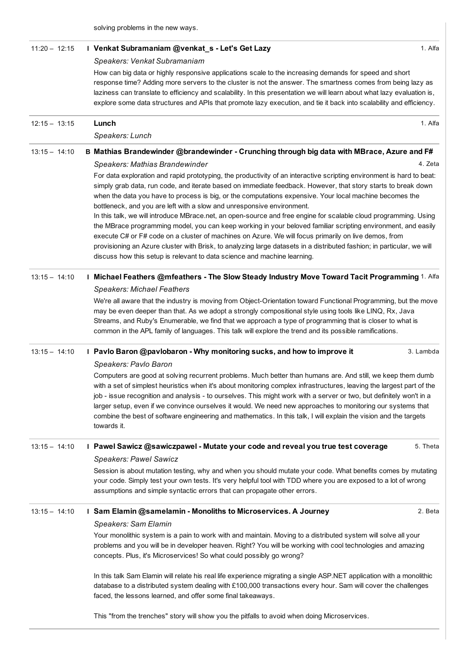solving problems in the new ways.

| $11:20 - 12:15$ |  | I Venkat Subramaniam @venkat_s - Let's Get Lazy                                                                                                                                                                                                                                                                                                                                                                                                                                                                                                                                                                 | 1. Alfa   |
|-----------------|--|-----------------------------------------------------------------------------------------------------------------------------------------------------------------------------------------------------------------------------------------------------------------------------------------------------------------------------------------------------------------------------------------------------------------------------------------------------------------------------------------------------------------------------------------------------------------------------------------------------------------|-----------|
|                 |  | Speakers: Venkat Subramaniam                                                                                                                                                                                                                                                                                                                                                                                                                                                                                                                                                                                    |           |
|                 |  | How can big data or highly responsive applications scale to the increasing demands for speed and short<br>response time? Adding more servers to the cluster is not the answer. The smartness comes from being lazy as<br>laziness can translate to efficiency and scalability. In this presentation we will learn about what lazy evaluation is,<br>explore some data structures and APIs that promote lazy execution, and tie it back into scalability and efficiency.                                                                                                                                         |           |
| $12:15 - 13:15$ |  | Lunch                                                                                                                                                                                                                                                                                                                                                                                                                                                                                                                                                                                                           | 1. Alfa   |
|                 |  | Speakers: Lunch                                                                                                                                                                                                                                                                                                                                                                                                                                                                                                                                                                                                 |           |
| $13:15 - 14:10$ |  | B Mathias Brandewinder @brandewinder - Crunching through big data with MBrace, Azure and F#                                                                                                                                                                                                                                                                                                                                                                                                                                                                                                                     |           |
|                 |  | Speakers: Mathias Brandewinder                                                                                                                                                                                                                                                                                                                                                                                                                                                                                                                                                                                  | 4. Zeta   |
|                 |  | For data exploration and rapid prototyping, the productivity of an interactive scripting environment is hard to beat:<br>simply grab data, run code, and iterate based on immediate feedback. However, that story starts to break down<br>when the data you have to process is big, or the computations expensive. Your local machine becomes the<br>bottleneck, and you are left with a slow and unresponsive environment.<br>In this talk, we will introduce MBrace.net, an open-source and free engine for scalable cloud programming. Using                                                                 |           |
|                 |  | the MBrace programming model, you can keep working in your beloved familiar scripting environment, and easily<br>execute C# or F# code on a cluster of machines on Azure. We will focus primarily on live demos, from<br>provisioning an Azure cluster with Brisk, to analyzing large datasets in a distributed fashion; in particular, we will<br>discuss how this setup is relevant to data science and machine learning.                                                                                                                                                                                     |           |
| $13:15 - 14:10$ |  | I Michael Feathers @mfeathers - The Slow Steady Industry Move Toward Tacit Programming 1. Alfa                                                                                                                                                                                                                                                                                                                                                                                                                                                                                                                  |           |
|                 |  | <b>Speakers: Michael Feathers</b>                                                                                                                                                                                                                                                                                                                                                                                                                                                                                                                                                                               |           |
|                 |  | We're all aware that the industry is moving from Object-Orientation toward Functional Programming, but the move<br>may be even deeper than that. As we adopt a strongly compositional style using tools like LINQ, Rx, Java<br>Streams, and Ruby's Enumerable, we find that we approach a type of programming that is closer to what is<br>common in the APL family of languages. This talk will explore the trend and its possible ramifications.                                                                                                                                                              |           |
| $13:15 - 14:10$ |  | I Pavlo Baron @pavlobaron - Why monitoring sucks, and how to improve it                                                                                                                                                                                                                                                                                                                                                                                                                                                                                                                                         | 3. Lambda |
|                 |  | Speakers: Pavlo Baron                                                                                                                                                                                                                                                                                                                                                                                                                                                                                                                                                                                           |           |
|                 |  | Computers are good at solving recurrent problems. Much better than humans are. And still, we keep them dumb<br>with a set of simplest heuristics when it's about monitoring complex infrastructures, leaving the largest part of the<br>job - issue recognition and analysis - to ourselves. This might work with a server or two, but definitely won't in a<br>larger setup, even if we convince ourselves it would. We need new approaches to monitoring our systems that<br>combine the best of software engineering and mathematics. In this talk, I will explain the vision and the targets<br>towards it. |           |
| $13:15 - 14:10$ |  | I Pawel Sawicz @sawiczpawel - Mutate your code and reveal you true test coverage                                                                                                                                                                                                                                                                                                                                                                                                                                                                                                                                | 5. Theta  |
|                 |  | <b>Speakers: Pawel Sawicz</b>                                                                                                                                                                                                                                                                                                                                                                                                                                                                                                                                                                                   |           |
|                 |  | Session is about mutation testing, why and when you should mutate your code. What benefits comes by mutating<br>your code. Simply test your own tests. It's very helpful tool with TDD where you are exposed to a lot of wrong<br>assumptions and simple syntactic errors that can propagate other errors.                                                                                                                                                                                                                                                                                                      |           |
| $13:15 - 14:10$ |  | I Sam Elamin @samelamin - Monoliths to Microservices. A Journey                                                                                                                                                                                                                                                                                                                                                                                                                                                                                                                                                 | 2. Beta   |
|                 |  | Speakers: Sam Elamin                                                                                                                                                                                                                                                                                                                                                                                                                                                                                                                                                                                            |           |
|                 |  | Your monolithic system is a pain to work with and maintain. Moving to a distributed system will solve all your<br>problems and you will be in developer heaven. Right? You will be working with cool technologies and amazing<br>concepts. Plus, it's Microservices! So what could possibly go wrong?                                                                                                                                                                                                                                                                                                           |           |
|                 |  | In this talk Sam Elamin will relate his real life experience migrating a single ASP.NET application with a monolithic<br>database to a distributed system dealing with £100,000 transactions every hour. Sam will cover the challenges<br>faced, the lessons learned, and offer some final takeaways.                                                                                                                                                                                                                                                                                                           |           |
|                 |  | This "from the trenches" story will show you the pitfalls to avoid when doing Microservices.                                                                                                                                                                                                                                                                                                                                                                                                                                                                                                                    |           |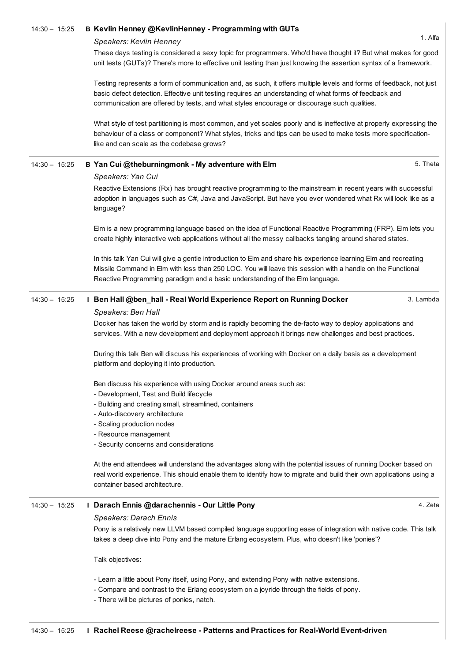#### 14:30 - 15:25 B Kevlin Henney [@KevlinHenney](https://buildstuff15lithuania.sched.org/event/eceb4198208bcad6c15f9e478604b94b) - Programming with GUTs

#### *Speakers: Kevlin Henney*

1. Alfa

These days testing is considered a sexy topic for programmers. Who'd have thought it? But what makes for good unit tests (GUTs)? There's more to effective unit testing than just knowing the assertion syntax of a framework.

Testing represents a form of communication and, as such, it offers multiple levels and forms of feedback, not just basic defect detection. Effective unit testing requires an understanding of what forms of feedback and communication are offered by tests, and what styles encourage or discourage such qualities.

What style of test partitioning is most common, and yet scales poorly and is ineffective at properly expressing the behaviour of a class or component? What styles, tricks and tips can be used to make tests more specificationlike and can scale as the codebase grows?

## 14:30 - 15:25 B Yan Cui [@theburningmonk](https://buildstuff15lithuania.sched.org/event/dfd6af6d77fa1f47eccdfc5f15d6b5df) - My adventure with Elm

5. Theta

## *Speakers: Yan Cui*

Reactive Extensions (Rx) has brought reactive programming to the mainstream in recent years with successful adoption in languages such as C#, Java and JavaScript. But have you ever wondered what Rx will look like as a language?

Elm is a new programming language based on the idea of Functional Reactive Programming (FRP). Elm lets you create highly interactive web applications without all the messy callbacks tangling around shared states.

In this talk Yan Cui will give a gentle introduction to Elm and share his experience learning Elm and recreating Missile Command in Elm with less than 250 LOC. You will leave this session with a handle on the Functional Reactive Programming paradigm and a basic understanding of the Elm language.

#### 3. Lambda 14:30 – 15:25 I Ben Hall @ben\_hall Real World [Experience](https://buildstuff15lithuania.sched.org/event/bc659ab40810dae441445e79eb86c041) Report on Running Docker *Speakers: Ben Hall*

Docker has taken the world by storm and is rapidly becoming the de-facto way to deploy applications and services. With a new development and deployment approach it brings new challenges and best practices.

During this talk Ben will discuss his experiences of working with Docker on a daily basis as a development platform and deploying it into production.

Ben discuss his experience with using Docker around areas such as:

- Development, Test and Build lifecycle
- Building and creating small, streamlined, containers
- Auto-discovery architecture
- Scaling production nodes
- Resource management
- Security concerns and considerations

At the end attendees will understand the advantages along with the potential issues of running Docker based on real world experience. This should enable them to identify how to migrate and build their own applications using a container based architecture.

## 14:30 - 15:25 I Darach Ennis [@darachennis](https://buildstuff15lithuania.sched.org/event/68035dd69f323715bfcd4c065711ddd9) - Our Little Pony

#### *Speakers: Darach Ennis*

4. Zeta

Pony is a relatively new LLVM based compiled language supporting ease of integration with native code. This talk takes a deep dive into Pony and the mature Erlang ecosystem. Plus, who doesn't like 'ponies'?

Talk objectives:

Learn a little about Pony itself, using Pony, and extending Pony with native extensions.

- Compare and contrast to the Erlang ecosystem on a joyride through the fields of pony.
- There will be pictures of ponies, natch.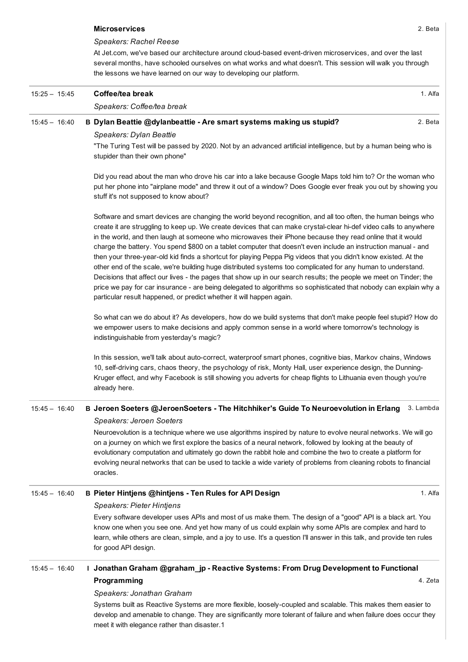#### [Microservices](https://buildstuff15lithuania.sched.org/event/61411efa9f11a997612a6ed225a924aa)

*Speakers: Rachel Reese*

At Jet.com, we've based our architecture around cloud-based event-driven microservices, and over the last several months, have schooled ourselves on what works and what doesn't. This session will walk you through the lessons we have learned on our way to developing our platform.

| $15:25 - 15:45$ | Coffee/tea break                                                            |        |  |
|-----------------|-----------------------------------------------------------------------------|--------|--|
|                 | Speakers: Coffee/tea break                                                  |        |  |
| $15.45 - 16.40$ | <b>B. Dylan Beattie @dylanbeattie - Are smart systems making us stupid?</b> | 2 Beta |  |

#### 15:45 – 16:40 B Dylan Beattie [@dylanbeattie](https://buildstuff15lithuania.sched.org/event/f5706e0a8bed4a6204cbe79f09b10f75) Are smart systems making us stupid?

*Speakers: Dylan Beattie*

"The Turing Test will be passed by 2020. Not by an advanced artificial intelligence, but by a human being who is stupider than their own phone"

Did you read about the man who drove his car into a lake because Google Maps told him to? Or the woman who put her phone into "airplane mode" and threw it out of a window? Does Google ever freak you out by showing you stuff it's not supposed to know about?

Software and smart devices are changing the world beyond recognition, and all too often, the human beings who create it are struggling to keep up. We create devices that can make crystal-clear hi-def video calls to anywhere in the world, and then laugh at someone who microwaves their iPhone because they read online that it would charge the battery. You spend \$800 on a tablet computer that doesn't even include an instruction manual - and then your three-year-old kid finds a shortcut for playing Peppa Pig videos that you didn't know existed. At the other end of the scale, we're building huge distributed systems too complicated for any human to understand. Decisions that affect our lives - the pages that show up in our search results; the people we meet on Tinder; the price we pay for car insurance - are being delegated to algorithms so sophisticated that nobody can explain why a particular result happened, or predict whether it will happen again.

So what can we do about it? As developers, how do we build systems that don't make people feel stupid? How do we empower users to make decisions and apply common sense in a world where tomorrow's technology is indistinguishable from yesterday's magic?

In this session, we'll talk about auto-correct, waterproof smart phones, cognitive bias, Markov chains, Windows 10, self-driving cars, chaos theory, the psychology of risk, Monty Hall, user experience design, the Dunning-Kruger effect, and why Facebook is still showing you adverts for cheap flights to Lithuania even though you're already here.

## 15:45 - 16:40 B Jeroen Soeters [@JeroenSoeters](https://buildstuff15lithuania.sched.org/event/a3a42f614d2a84b72f37c7d61c54dacf) - The Hitchhiker's Guide To Neuroevolution in Erlang 3. Lambda *Speakers: Jeroen Soeters*

Neuroevolution is a technique where we use algorithms inspired by nature to evolve neural networks. We will go on a journey on which we first explore the basics of a neural network, followed by looking at the beauty of evolutionary computation and ultimately go down the rabbit hole and combine the two to create a platform for evolving neural networks that can be used to tackle a wide variety of problems from cleaning robots to financial oracles.

## 15:45 – 16:40 B Pieter Hintjens [@hintjens](https://buildstuff15lithuania.sched.org/event/e486457e19900cb39694698b248d03a4) Ten Rules for API Design

#### *Speakers: Pieter Hintjens*

Every software developer uses APIs and most of us make them. The design of a "good" API is a black art. You know one when you see one. And yet how many of us could explain why some APIs are complex and hard to learn, while others are clean, simple, and a joy to use. It's a question I'll answer in this talk, and provide ten rules for good API design.

#### 4. Zeta 15:45 - 16:40 I Jonathan Graham @graham\_jp - Reactive Systems: From Drug Development to Functional [Programming](https://buildstuff15lithuania.sched.org/event/10b2e793b2d1cecde971ff1bdfb4ed67)

#### *Speakers: Jonathan Graham*

Systems built as Reactive Systems are more flexible, loosely-coupled and scalable. This makes them easier to develop and amenable to change. They are significantly more tolerant of failure and when failure does occur they meet it with elegance rather than disaster.1

1. Alfa